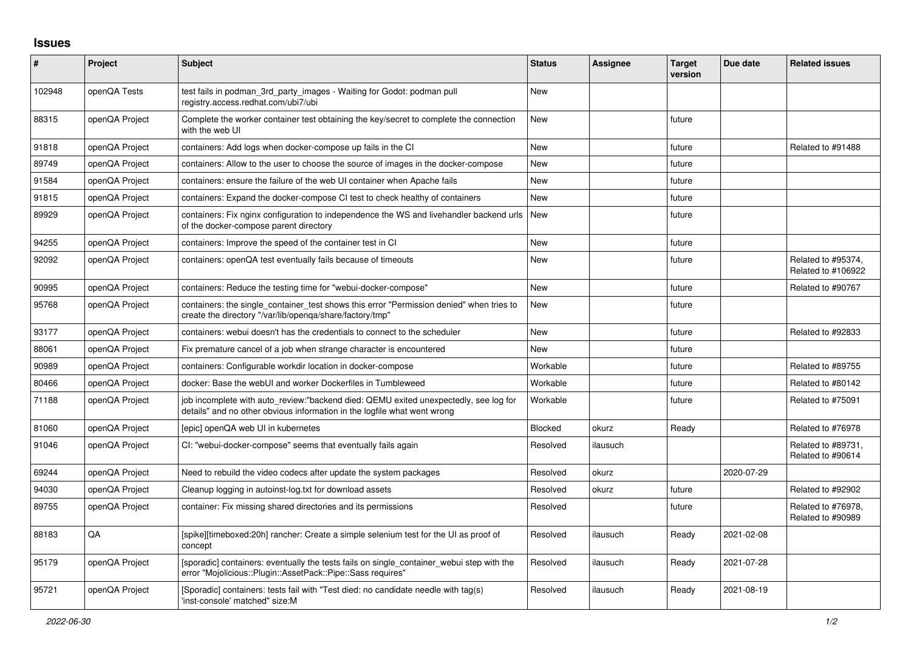## **Issues**

| $\pmb{\#}$ | Project        | <b>Subject</b>                                                                                                                                                   | <b>Status</b> | <b>Assignee</b> | <b>Target</b><br>version | Due date   | <b>Related issues</b>                    |
|------------|----------------|------------------------------------------------------------------------------------------------------------------------------------------------------------------|---------------|-----------------|--------------------------|------------|------------------------------------------|
| 102948     | openQA Tests   | test fails in podman_3rd_party_images - Waiting for Godot: podman pull<br>registry.access.redhat.com/ubi7/ubi                                                    | <b>New</b>    |                 |                          |            |                                          |
| 88315      | openQA Project | Complete the worker container test obtaining the key/secret to complete the connection<br>with the web UI                                                        | <b>New</b>    |                 | future                   |            |                                          |
| 91818      | openQA Project | containers: Add logs when docker-compose up fails in the CI                                                                                                      | <b>New</b>    |                 | future                   |            | Related to #91488                        |
| 89749      | openQA Project | containers: Allow to the user to choose the source of images in the docker-compose                                                                               | <b>New</b>    |                 | future                   |            |                                          |
| 91584      | openQA Project | containers: ensure the failure of the web UI container when Apache fails                                                                                         | <b>New</b>    |                 | future                   |            |                                          |
| 91815      | openQA Project | containers: Expand the docker-compose CI test to check healthy of containers                                                                                     | <b>New</b>    |                 | future                   |            |                                          |
| 89929      | openQA Project | containers: Fix nginx configuration to independence the WS and livehandler backend urls<br>of the docker-compose parent directory                                | <b>New</b>    |                 | future                   |            |                                          |
| 94255      | openQA Project | containers: Improve the speed of the container test in CI                                                                                                        | <b>New</b>    |                 | future                   |            |                                          |
| 92092      | openQA Project | containers: openQA test eventually fails because of timeouts                                                                                                     | <b>New</b>    |                 | future                   |            | Related to #95374,<br>Related to #106922 |
| 90995      | openQA Project | containers: Reduce the testing time for "webui-docker-compose"                                                                                                   | <b>New</b>    |                 | future                   |            | Related to #90767                        |
| 95768      | openQA Project | containers: the single container test shows this error "Permission denied" when tries to<br>create the directory "/var/lib/openqa/share/factory/tmp"             | <b>New</b>    |                 | future                   |            |                                          |
| 93177      | openQA Project | containers: webui doesn't has the credentials to connect to the scheduler                                                                                        | <b>New</b>    |                 | future                   |            | Related to #92833                        |
| 88061      | openQA Project | Fix premature cancel of a job when strange character is encountered                                                                                              | <b>New</b>    |                 | future                   |            |                                          |
| 90989      | openQA Project | containers: Configurable workdir location in docker-compose                                                                                                      | Workable      |                 | future                   |            | Related to #89755                        |
| 80466      | openQA Project | docker: Base the webUI and worker Dockerfiles in Tumbleweed                                                                                                      | Workable      |                 | future                   |            | Related to #80142                        |
| 71188      | openQA Project | job incomplete with auto review:"backend died: QEMU exited unexpectedly, see log for<br>details" and no other obvious information in the logfile what went wrong | Workable      |                 | future                   |            | Related to #75091                        |
| 81060      | openQA Project | [epic] openQA web UI in kubernetes                                                                                                                               | Blocked       | okurz           | Ready                    |            | Related to #76978                        |
| 91046      | openQA Project | CI: "webui-docker-compose" seems that eventually fails again                                                                                                     | Resolved      | ilausuch        |                          |            | Related to #89731,<br>Related to #90614  |
| 69244      | openQA Project | Need to rebuild the video codecs after update the system packages                                                                                                | Resolved      | okurz           |                          | 2020-07-29 |                                          |
| 94030      | openQA Project | Cleanup logging in autoinst-log.txt for download assets                                                                                                          | Resolved      | okurz           | future                   |            | Related to #92902                        |
| 89755      | openQA Project | container: Fix missing shared directories and its permissions                                                                                                    | Resolved      |                 | future                   |            | Related to #76978,<br>Related to #90989  |
| 88183      | QA             | [spike][timeboxed:20h] rancher: Create a simple selenium test for the UI as proof of<br>concept                                                                  | Resolved      | ilausuch        | Ready                    | 2021-02-08 |                                          |
| 95179      | openQA Project | [sporadic] containers: eventually the tests fails on single container webui step with the<br>error "Mojolicious::Plugin::AssetPack::Pipe::Sass requires"         | Resolved      | ilausuch        | Ready                    | 2021-07-28 |                                          |
| 95721      | openQA Project | [Sporadic] containers: tests fail with "Test died: no candidate needle with tag(s)<br>'inst-console' matched" size:M                                             | Resolved      | ilausuch        | Ready                    | 2021-08-19 |                                          |